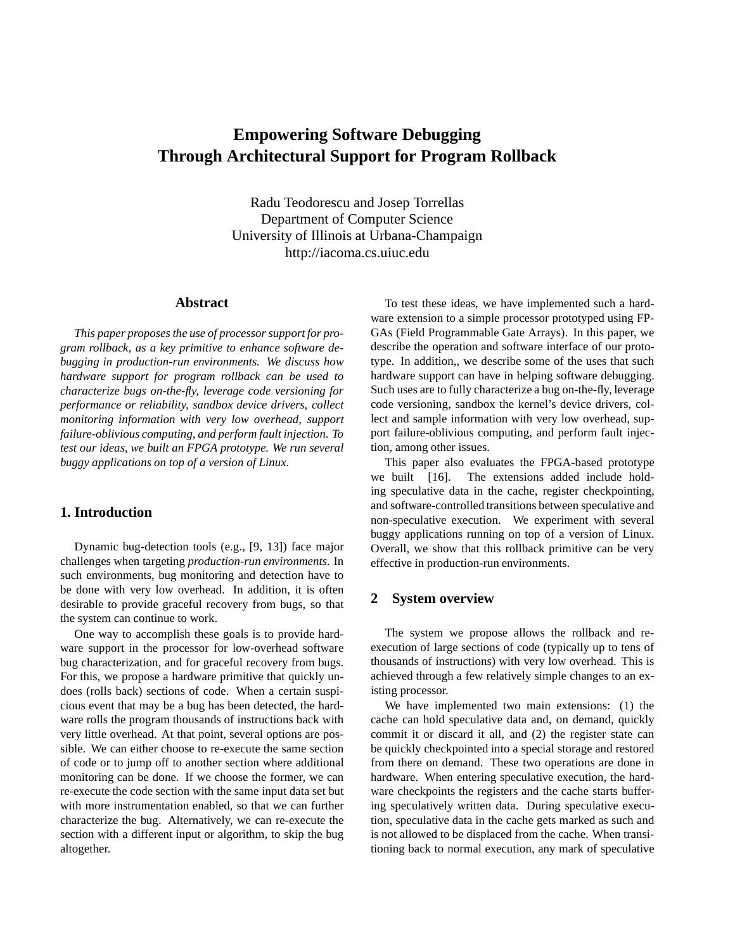# **Empowering Software Debugging Through Architectural Support for Program Rollback**

Radu Teodorescu and Josep Torrellas Department of Computer Science University of Illinois at Urbana-Champaign http://iacoma.cs.uiuc.edu

# **Abstract**

*This paper proposes the use of processor support for program rollback, as a key primitive to enhance software debugging in production-run environments. We discuss how hardware support for program rollback can be used to characterize bugs on-the-fly, leverage code versioning for performance or reliability, sandbox device drivers, collect monitoring information with very low overhead, support failure-oblivious computing, and perform fault injection. To test our ideas, we built an FPGA prototype. We run several buggy applications on top of a version of Linux.*

# **1. Introduction**

Dynamic bug-detection tools (e.g., [9, 13]) face major challenges when targeting *production-run environments*. In such environments, bug monitoring and detection have to be done with very low overhead. In addition, it is often desirable to provide graceful recovery from bugs, so that the system can continue to work.

One way to accomplish these goals is to provide hardware support in the processor for low-overhead software bug characterization, and for graceful recovery from bugs. For this, we propose a hardware primitive that quickly undoes (rolls back) sections of code. When a certain suspicious event that may be a bug has been detected, the hardware rolls the program thousands of instructions back with very little overhead. At that point, several options are possible. We can either choose to re-execute the same section of code or to jump off to another section where additional monitoring can be done. If we choose the former, we can re-execute the code section with the same input data set but with more instrumentation enabled, so that we can further characterize the bug. Alternatively, we can re-execute the section with a different input or algorithm, to skip the bug altogether.

To test these ideas, we have implemented such a hardware extension to a simple processor prototyped using FP-GAs (Field Programmable Gate Arrays). In this paper, we describe the operation and software interface of our prototype. In addition,, we describe some of the uses that such hardware support can have in helping software debugging. Such uses are to fully characterize a bug on-the-fly, leverage code versioning, sandbox the kernel's device drivers, collect and sample information with very low overhead, support failure-oblivious computing, and perform fault injection, among other issues.

This paper also evaluates the FPGA-based prototype we built [16]. The extensions added include holding speculative data in the cache, register checkpointing, and software-controlled transitions between speculative and non-speculative execution. We experiment with several buggy applications running on top of a version of Linux. Overall, we show that this rollback primitive can be very effective in production-run environments.

## **2 System overview**

The system we propose allows the rollback and reexecution of large sections of code (typically up to tens of thousands of instructions) with very low overhead. This is achieved through a few relatively simple changes to an existing processor.

We have implemented two main extensions: (1) the cache can hold speculative data and, on demand, quickly commit it or discard it all, and (2) the register state can be quickly checkpointed into a special storage and restored from there on demand. These two operations are done in hardware. When entering speculative execution, the hardware checkpoints the registers and the cache starts buffering speculatively written data. During speculative execution, speculative data in the cache gets marked as such and is not allowed to be displaced from the cache. When transitioning back to normal execution, any mark of speculative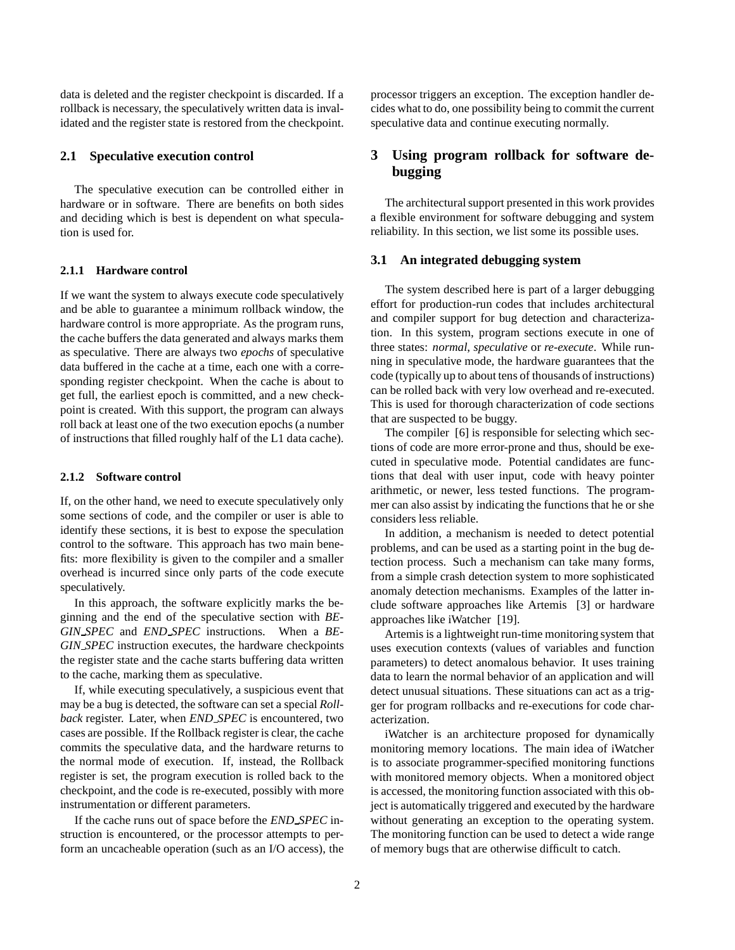data is deleted and the register checkpoint is discarded. If a rollback is necessary, the speculatively written data is invalidated and the register state is restored from the checkpoint.

### **2.1 Speculative execution control**

The speculative execution can be controlled either in hardware or in software. There are benefits on both sides and deciding which is best is dependent on what speculation is used for.

# **2.1.1 Hardware control**

If we want the system to always execute code speculatively and be able to guarantee a minimum rollback window, the hardware control is more appropriate. As the program runs, the cache buffers the data generated and always marks them as speculative. There are always two *epochs* of speculative data buffered in the cache at a time, each one with a corresponding register checkpoint. When the cache is about to get full, the earliest epoch is committed, and a new checkpoint is created. With this support, the program can always roll back at least one of the two execution epochs (a number of instructions that filled roughly half of the L1 data cache).

## **2.1.2 Software control**

If, on the other hand, we need to execute speculatively only some sections of code, and the compiler or user is able to identify these sections, it is best to expose the speculation control to the software. This approach has two main benefits: more flexibility is given to the compiler and a smaller overhead is incurred since only parts of the code execute speculatively.

In this approach, the software explicitly marks the beginning and the end of the speculative section with *BE-GIN SPEC* and *END SPEC* instructions. When a *BE-GIN SPEC* instruction executes, the hardware checkpoints the register state and the cache starts buffering data written to the cache, marking them as speculative.

If, while executing speculatively, a suspicious event that may be a bug is detected, the software can set a special *Rollback* register. Later, when *END SPEC* is encountered, two cases are possible. If the Rollback register is clear, the cache commits the speculative data, and the hardware returns to the normal mode of execution. If, instead, the Rollback register is set, the program execution is rolled back to the checkpoint, and the code is re-executed, possibly with more instrumentation or different parameters.

If the cache runs out of space before the *END SPEC* instruction is encountered, or the processor attempts to perform an uncacheable operation (such as an I/O access), the processor triggers an exception. The exception handler decides what to do, one possibility being to commit the current speculative data and continue executing normally.

# **3 Using program rollback for software debugging**

The architectural support presented in this work provides a flexible environment for software debugging and system reliability. In this section, we list some its possible uses.

#### **3.1 An integrated debugging system**

The system described here is part of a larger debugging effort for production-run codes that includes architectural and compiler support for bug detection and characterization. In this system, program sections execute in one of three states: *normal*, *speculative* or *re-execute*. While running in speculative mode, the hardware guarantees that the code (typically up to about tens of thousands of instructions) can be rolled back with very low overhead and re-executed. This is used for thorough characterization of code sections that are suspected to be buggy.

The compiler [6] is responsible for selecting which sections of code are more error-prone and thus, should be executed in speculative mode. Potential candidates are functions that deal with user input, code with heavy pointer arithmetic, or newer, less tested functions. The programmer can also assist by indicating the functions that he or she considers less reliable.

In addition, a mechanism is needed to detect potential problems, and can be used as a starting point in the bug detection process. Such a mechanism can take many forms, from a simple crash detection system to more sophisticated anomaly detection mechanisms. Examples of the latter include software approaches like Artemis [3] or hardware approaches like iWatcher [19].

Artemis is a lightweight run-time monitoring system that uses execution contexts (values of variables and function parameters) to detect anomalous behavior. It uses training data to learn the normal behavior of an application and will detect unusual situations. These situations can act as a trigger for program rollbacks and re-executions for code characterization.

iWatcher is an architecture proposed for dynamically monitoring memory locations. The main idea of iWatcher is to associate programmer-specified monitoring functions with monitored memory objects. When a monitored object is accessed, the monitoring function associated with this object is automatically triggered and executed by the hardware without generating an exception to the operating system. The monitoring function can be used to detect a wide range of memory bugs that are otherwise difficult to catch.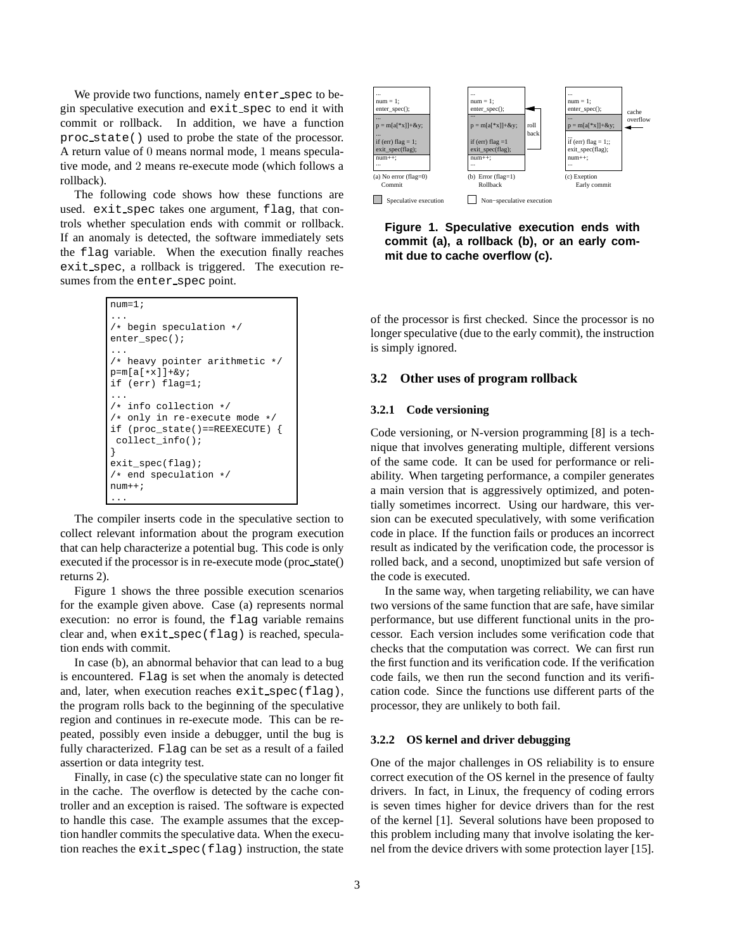We provide two functions, namely enter\_spec to begin speculative execution and exit spec to end it with commit or rollback. In addition, we have a function proc state() used to probe the state of the processor. A return value of 0 means normal mode, 1 means speculative mode, and 2 means re-execute mode (which follows a rollback).

The following code shows how these functions are used. exit\_spec takes one argument, flag, that controls whether speculation ends with commit or rollback. If an anomaly is detected, the software immediately sets the flag variable. When the execution finally reaches exit spec, a rollback is triggered. The execution resumes from the enter spec point.

```
num=1;
...
/* begin speculation */
enter_spec();
...
/* heavy pointer arithmetic */
p=m[a[*x]]+&y;if (err) flag=1;
...
/* info collection */
/* only in re-execute mode */
if (proc_state()==REEXECUTE) {
collect_info();
}
exit_spec(flag);
/* end speculation */
num++;
...
```
The compiler inserts code in the speculative section to collect relevant information about the program execution that can help characterize a potential bug. This code is only executed if the processor is in re-execute mode (proc state() returns 2).

Figure 1 shows the three possible execution scenarios for the example given above. Case (a) represents normal execution: no error is found, the flag variable remains clear and, when exit spec(flag) is reached, speculation ends with commit.

In case (b), an abnormal behavior that can lead to a bug is encountered. Flag is set when the anomaly is detected and, later, when execution reaches exit spec(flag), the program rolls back to the beginning of the speculative region and continues in re-execute mode. This can be repeated, possibly even inside a debugger, until the bug is fully characterized. Flag can be set as a result of a failed assertion or data integrity test.

Finally, in case (c) the speculative state can no longer fit in the cache. The overflow is detected by the cache controller and an exception is raised. The software is expected to handle this case. The example assumes that the exception handler commits the speculative data. When the execution reaches the exit spec(flag) instruction, the state



**Figure 1. Speculative execution ends with commit (a), a rollback (b), or an early commit due to cache overflow (c).**

of the processor is first checked. Since the processor is no longer speculative (due to the early commit), the instruction is simply ignored.

#### **3.2 Other uses of program rollback**

#### **3.2.1 Code versioning**

Code versioning, or N-version programming [8] is a technique that involves generating multiple, different versions of the same code. It can be used for performance or reliability. When targeting performance, a compiler generates a main version that is aggressively optimized, and potentially sometimes incorrect. Using our hardware, this version can be executed speculatively, with some verification code in place. If the function fails or produces an incorrect result as indicated by the verification code, the processor is rolled back, and a second, unoptimized but safe version of the code is executed.

In the same way, when targeting reliability, we can have two versions of the same function that are safe, have similar performance, but use different functional units in the processor. Each version includes some verification code that checks that the computation was correct. We can first run the first function and its verification code. If the verification code fails, we then run the second function and its verification code. Since the functions use different parts of the processor, they are unlikely to both fail.

#### **3.2.2 OS kernel and driver debugging**

One of the major challenges in OS reliability is to ensure correct execution of the OS kernel in the presence of faulty drivers. In fact, in Linux, the frequency of coding errors is seven times higher for device drivers than for the rest of the kernel [1]. Several solutions have been proposed to this problem including many that involve isolating the kernel from the device drivers with some protection layer [15].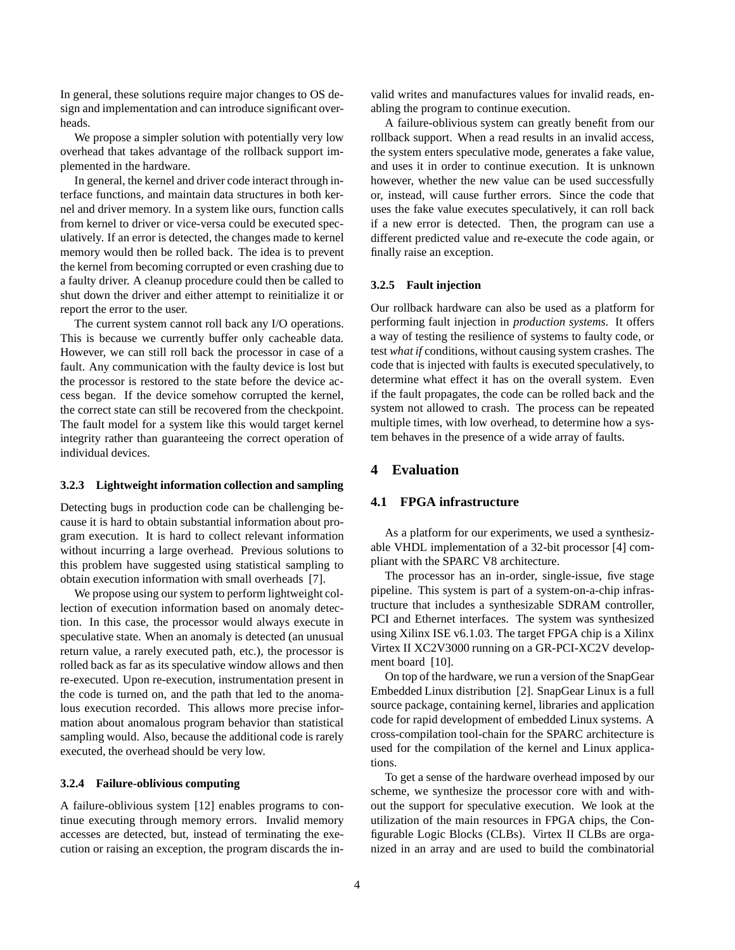In general, these solutions require major changes to OS design and implementation and can introduce significant overheads.

We propose a simpler solution with potentially very low overhead that takes advantage of the rollback support implemented in the hardware.

In general, the kernel and driver code interact through interface functions, and maintain data structures in both kernel and driver memory. In a system like ours, function calls from kernel to driver or vice-versa could be executed speculatively. If an error is detected, the changes made to kernel memory would then be rolled back. The idea is to prevent the kernel from becoming corrupted or even crashing due to a faulty driver. A cleanup procedure could then be called to shut down the driver and either attempt to reinitialize it or report the error to the user.

The current system cannot roll back any I/O operations. This is because we currently buffer only cacheable data. However, we can still roll back the processor in case of a fault. Any communication with the faulty device is lost but the processor is restored to the state before the device access began. If the device somehow corrupted the kernel, the correct state can still be recovered from the checkpoint. The fault model for a system like this would target kernel integrity rather than guaranteeing the correct operation of individual devices.

#### **3.2.3 Lightweight information collection and sampling**

Detecting bugs in production code can be challenging because it is hard to obtain substantial information about program execution. It is hard to collect relevant information without incurring a large overhead. Previous solutions to this problem have suggested using statistical sampling to obtain execution information with small overheads [7].

We propose using our system to perform lightweight collection of execution information based on anomaly detection. In this case, the processor would always execute in speculative state. When an anomaly is detected (an unusual return value, a rarely executed path, etc.), the processor is rolled back as far as its speculative window allows and then re-executed. Upon re-execution, instrumentation present in the code is turned on, and the path that led to the anomalous execution recorded. This allows more precise information about anomalous program behavior than statistical sampling would. Also, because the additional code is rarely executed, the overhead should be very low.

#### **3.2.4 Failure-oblivious computing**

A failure-oblivious system [12] enables programs to continue executing through memory errors. Invalid memory accesses are detected, but, instead of terminating the execution or raising an exception, the program discards the invalid writes and manufactures values for invalid reads, enabling the program to continue execution.

A failure-oblivious system can greatly benefit from our rollback support. When a read results in an invalid access, the system enters speculative mode, generates a fake value, and uses it in order to continue execution. It is unknown however, whether the new value can be used successfully or, instead, will cause further errors. Since the code that uses the fake value executes speculatively, it can roll back if a new error is detected. Then, the program can use a different predicted value and re-execute the code again, or finally raise an exception.

#### **3.2.5 Fault injection**

Our rollback hardware can also be used as a platform for performing fault injection in *production systems*. It offers a way of testing the resilience of systems to faulty code, or test *what if* conditions, without causing system crashes. The code that is injected with faults is executed speculatively, to determine what effect it has on the overall system. Even if the fault propagates, the code can be rolled back and the system not allowed to crash. The process can be repeated multiple times, with low overhead, to determine how a system behaves in the presence of a wide array of faults.

# **4 Evaluation**

# **4.1 FPGA infrastructure**

As a platform for our experiments, we used a synthesizable VHDL implementation of a 32-bit processor [4] compliant with the SPARC V8 architecture.

The processor has an in-order, single-issue, five stage pipeline. This system is part of a system-on-a-chip infrastructure that includes a synthesizable SDRAM controller, PCI and Ethernet interfaces. The system was synthesized using Xilinx ISE v6.1.03. The target FPGA chip is a Xilinx Virtex II XC2V3000 running on a GR-PCI-XC2V development board [10].

On top of the hardware, we run a version of the SnapGear Embedded Linux distribution [2]. SnapGear Linux is a full source package, containing kernel, libraries and application code for rapid development of embedded Linux systems. A cross-compilation tool-chain for the SPARC architecture is used for the compilation of the kernel and Linux applications.

To get a sense of the hardware overhead imposed by our scheme, we synthesize the processor core with and without the support for speculative execution. We look at the utilization of the main resources in FPGA chips, the Configurable Logic Blocks (CLBs). Virtex II CLBs are organized in an array and are used to build the combinatorial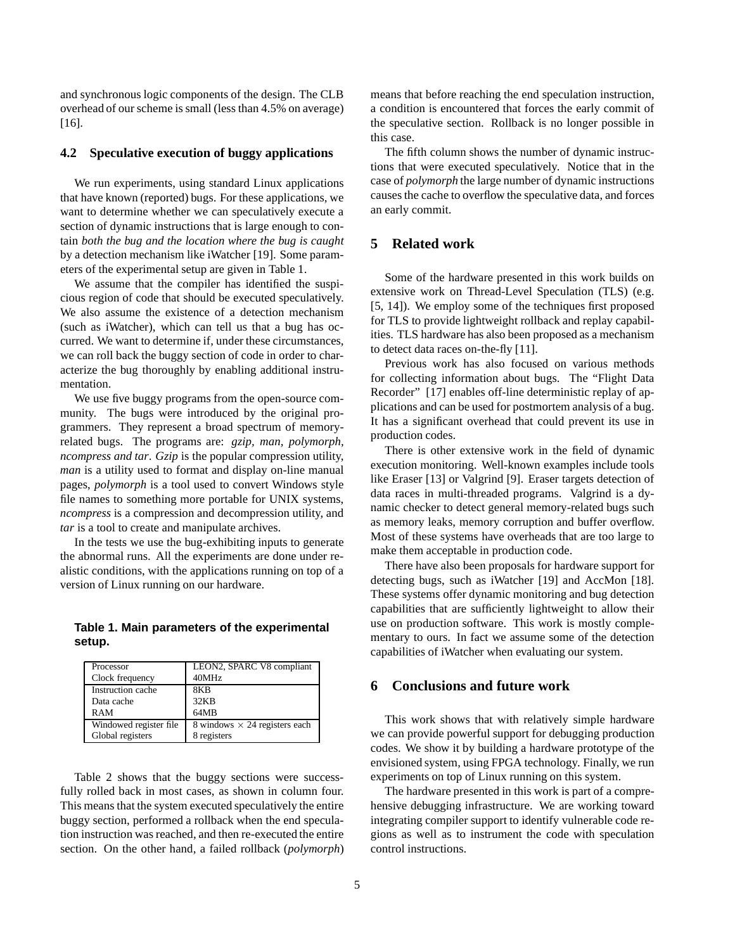and synchronous logic components of the design. The CLB overhead of our scheme is small (less than 4.5% on average) [16].

## **4.2 Speculative execution of buggy applications**

We run experiments, using standard Linux applications that have known (reported) bugs. For these applications, we want to determine whether we can speculatively execute a section of dynamic instructions that is large enough to contain *both the bug and the location where the bug is caught* by a detection mechanism like iWatcher [19]. Some parameters of the experimental setup are given in Table 1.

We assume that the compiler has identified the suspicious region of code that should be executed speculatively. We also assume the existence of a detection mechanism (such as iWatcher), which can tell us that a bug has occurred. We want to determine if, under these circumstances, we can roll back the buggy section of code in order to characterize the bug thoroughly by enabling additional instrumentation.

We use five buggy programs from the open-source community. The bugs were introduced by the original programmers. They represent a broad spectrum of memoryrelated bugs. The programs are: *gzip, man, polymorph, ncompress and tar*. *Gzip* is the popular compression utility, *man* is a utility used to format and display on-line manual pages, *polymorph* is a tool used to convert Windows style file names to something more portable for UNIX systems, *ncompress* is a compression and decompression utility, and *tar* is a tool to create and manipulate archives.

In the tests we use the bug-exhibiting inputs to generate the abnormal runs. All the experiments are done under realistic conditions, with the applications running on top of a version of Linux running on our hardware.

# **Table 1. Main parameters of the experimental setup.**

| Processor              | LEON2, SPARC V8 compliant            |
|------------------------|--------------------------------------|
| Clock frequency        | 40MHz                                |
| Instruction cache      | 8K <sub>R</sub>                      |
| Data cache             | 32KB                                 |
| RAM                    | 64MB                                 |
| Windowed register file | 8 windows $\times$ 24 registers each |
| Global registers       | 8 registers                          |

Table 2 shows that the buggy sections were successfully rolled back in most cases, as shown in column four. This means that the system executed speculatively the entire buggy section, performed a rollback when the end speculation instruction was reached, and then re-executed the entire section. On the other hand, a failed rollback (*polymorph*)

means that before reaching the end speculation instruction, a condition is encountered that forces the early commit of the speculative section. Rollback is no longer possible in this case.

The fifth column shows the number of dynamic instructions that were executed speculatively. Notice that in the case of *polymorph* the large number of dynamic instructions causes the cache to overflow the speculative data, and forces an early commit.

# **5 Related work**

Some of the hardware presented in this work builds on extensive work on Thread-Level Speculation (TLS) (e.g. [5, 14]). We employ some of the techniques first proposed for TLS to provide lightweight rollback and replay capabilities. TLS hardware has also been proposed as a mechanism to detect data races on-the-fly [11].

Previous work has also focused on various methods for collecting information about bugs. The "Flight Data Recorder" [17] enables off-line deterministic replay of applications and can be used for postmortem analysis of a bug. It has a significant overhead that could prevent its use in production codes.

There is other extensive work in the field of dynamic execution monitoring. Well-known examples include tools like Eraser [13] or Valgrind [9]. Eraser targets detection of data races in multi-threaded programs. Valgrind is a dynamic checker to detect general memory-related bugs such as memory leaks, memory corruption and buffer overflow. Most of these systems have overheads that are too large to make them acceptable in production code.

There have also been proposals for hardware support for detecting bugs, such as iWatcher [19] and AccMon [18]. These systems offer dynamic monitoring and bug detection capabilities that are sufficiently lightweight to allow their use on production software. This work is mostly complementary to ours. In fact we assume some of the detection capabilities of iWatcher when evaluating our system.

# **6 Conclusions and future work**

This work shows that with relatively simple hardware we can provide powerful support for debugging production codes. We show it by building a hardware prototype of the envisioned system, using FPGA technology. Finally, we run experiments on top of Linux running on this system.

The hardware presented in this work is part of a comprehensive debugging infrastructure. We are working toward integrating compiler support to identify vulnerable code regions as well as to instrument the code with speculation control instructions.